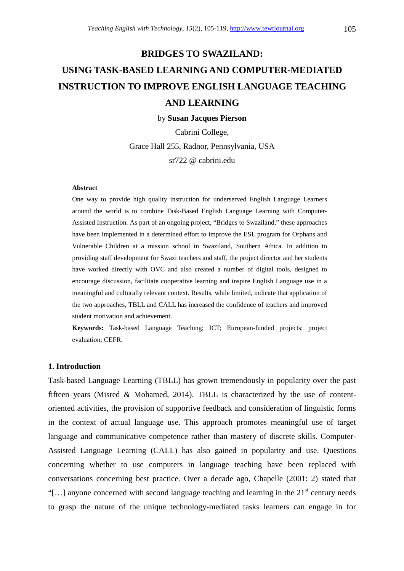# **BRIDGES TO SWAZILAND: USING TASK-BASED LEARNING AND COMPUTER-MEDIATED INSTRUCTION TO IMPROVE ENGLISH LANGUAGE TEACHING AND LEARNING**

by **Susan Jacques Pierson**

Cabrini College, Grace Hall 255, Radnor, Pennsylvania, USA sr722 @ cabrini.edu

#### **Abstract**

One way to provide high quality instruction for underserved English Language Learners around the world is to combine Task-Based English Language Learning with Computer-Assisted Instruction. As part of an ongoing project, "Bridges to Swaziland," these approaches have been implemented in a determined effort to improve the ESL program for Orphans and Vulnerable Children at a mission school in Swaziland, Southern Africa. In addition to providing staff development for Swazi teachers and staff, the project director and her students have worked directly with OVC and also created a number of digital tools, designed to encourage discussion, facilitate cooperative learning and inspire English Language use in a meaningful and culturally relevant context. Results, while limited, indicate that application of the two approaches, TBLL and CALL has increased the confidence of teachers and improved student motivation and achievement.

**Keywords:** Task-based Language Teaching; ICT; European-funded projects; project evaluation; CEFR.

## **1. Introduction**

Task-based Language Learning (TBLL) has grown tremendously in popularity over the past fifteen years (Misred & Mohamed, 2014). TBLL is characterized by the use of contentoriented activities, the provision of supportive feedback and consideration of linguistic forms in the context of actual language use. This approach promotes meaningful use of target language and communicative competence rather than mastery of discrete skills. Computer-Assisted Language Learning (CALL) has also gained in popularity and use. Questions concerning whether to use computers in language teaching have been replaced with conversations concerning best practice. Over a decade ago, Chapelle (2001: 2) stated that "[...] anyone concerned with second language teaching and learning in the  $21<sup>st</sup>$  century needs to grasp the nature of the unique technology-mediated tasks learners can engage in for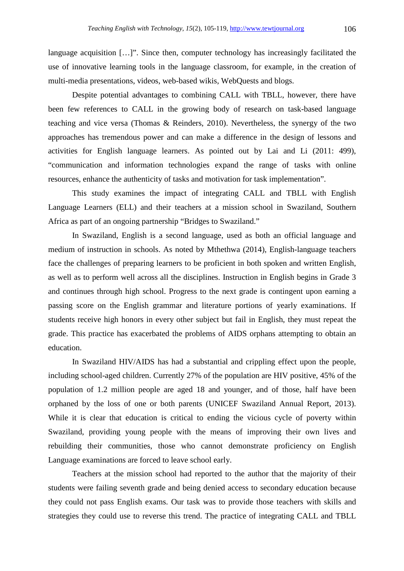language acquisition […]". Since then, computer technology has increasingly facilitated the use of innovative learning tools in the language classroom, for example, in the creation of multi-media presentations, videos, web-based wikis, WebQuests and blogs.

 Despite potential advantages to combining CALL with TBLL, however, there have been few references to CALL in the growing body of research on task-based language teaching and vice versa (Thomas & Reinders, 2010). Nevertheless, the synergy of the two approaches has tremendous power and can make a difference in the design of lessons and activities for English language learners. As pointed out by Lai and Li (2011: 499), "communication and information technologies expand the range of tasks with online resources, enhance the authenticity of tasks and motivation for task implementation".

 This study examines the impact of integrating CALL and TBLL with English Language Learners (ELL) and their teachers at a mission school in Swaziland, Southern Africa as part of an ongoing partnership "Bridges to Swaziland."

 In Swaziland, English is a second language, used as both an official language and medium of instruction in schools. As noted by Mthethwa (2014), English-language teachers face the challenges of preparing learners to be proficient in both spoken and written English, as well as to perform well across all the disciplines. Instruction in English begins in Grade 3 and continues through high school. Progress to the next grade is contingent upon earning a passing score on the English grammar and literature portions of yearly examinations. If students receive high honors in every other subject but fail in English, they must repeat the grade. This practice has exacerbated the problems of AIDS orphans attempting to obtain an education.

 In Swaziland HIV/AIDS has had a substantial and crippling effect upon the people, including school-aged children. Currently 27% of the population are HIV positive, 45% of the population of 1.2 million people are aged 18 and younger, and of those, half have been orphaned by the loss of one or both parents (UNICEF Swaziland Annual Report, 2013). While it is clear that education is critical to ending the vicious cycle of poverty within Swaziland, providing young people with the means of improving their own lives and rebuilding their communities, those who cannot demonstrate proficiency on English Language examinations are forced to leave school early.

 Teachers at the mission school had reported to the author that the majority of their students were failing seventh grade and being denied access to secondary education because they could not pass English exams. Our task was to provide those teachers with skills and strategies they could use to reverse this trend. The practice of integrating CALL and TBLL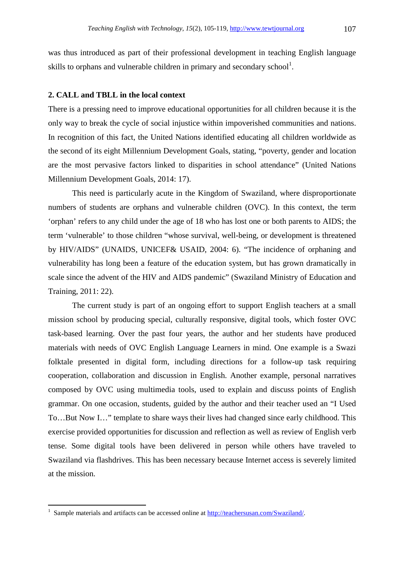was thus introduced as part of their professional development in teaching English language skills to orphans and vulnerable children in primary and secondary school<sup>1</sup>.

# **2. CALL and TBLL in the local context**

There is a pressing need to improve educational opportunities for all children because it is the only way to break the cycle of social injustice within impoverished communities and nations. In recognition of this fact, the United Nations identified educating all children worldwide as the second of its eight Millennium Development Goals, stating, "poverty, gender and location are the most pervasive factors linked to disparities in school attendance" (United Nations Millennium Development Goals, 2014: 17).

 This need is particularly acute in the Kingdom of Swaziland, where disproportionate numbers of students are orphans and vulnerable children (OVC). In this context, the term 'orphan' refers to any child under the age of 18 who has lost one or both parents to AIDS; the term 'vulnerable' to those children "whose survival, well-being, or development is threatened by HIV/AIDS" (UNAIDS, UNICEF& USAID, 2004: 6). "The incidence of orphaning and vulnerability has long been a feature of the education system, but has grown dramatically in scale since the advent of the HIV and AIDS pandemic" (Swaziland Ministry of Education and Training, 2011: 22).

 The current study is part of an ongoing effort to support English teachers at a small mission school by producing special, culturally responsive, digital tools, which foster OVC task-based learning. Over the past four years, the author and her students have produced materials with needs of OVC English Language Learners in mind. One example is a Swazi folktale presented in digital form, including directions for a follow-up task requiring cooperation, collaboration and discussion in English. Another example, personal narratives composed by OVC using multimedia tools, used to explain and discuss points of English grammar. On one occasion, students, guided by the author and their teacher used an "I Used To…But Now I…" template to share ways their lives had changed since early childhood. This exercise provided opportunities for discussion and reflection as well as review of English verb tense. Some digital tools have been delivered in person while others have traveled to Swaziland via flashdrives. This has been necessary because Internet access is severely limited at the mission.

֦

<sup>1</sup> Sample materials and artifacts can be accessed online at http://teachersusan.com/Swaziland/.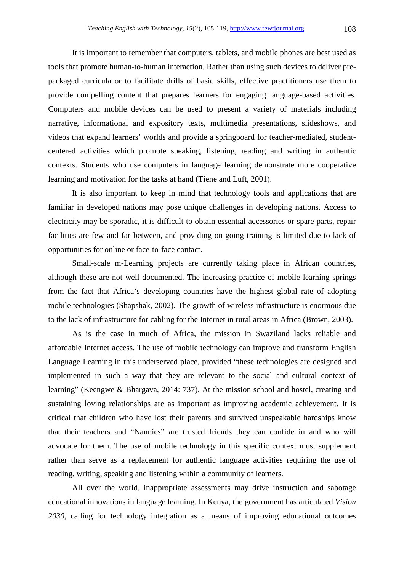It is important to remember that computers, tablets, and mobile phones are best used as tools that promote human-to-human interaction. Rather than using such devices to deliver prepackaged curricula or to facilitate drills of basic skills, effective practitioners use them to provide compelling content that prepares learners for engaging language-based activities. Computers and mobile devices can be used to present a variety of materials including narrative, informational and expository texts, multimedia presentations, slideshows, and videos that expand learners' worlds and provide a springboard for teacher-mediated, studentcentered activities which promote speaking, listening, reading and writing in authentic contexts. Students who use computers in language learning demonstrate more cooperative learning and motivation for the tasks at hand (Tiene and Luft, 2001).

 It is also important to keep in mind that technology tools and applications that are familiar in developed nations may pose unique challenges in developing nations. Access to electricity may be sporadic, it is difficult to obtain essential accessories or spare parts, repair facilities are few and far between, and providing on-going training is limited due to lack of opportunities for online or face-to-face contact.

 Small-scale m-Learning projects are currently taking place in African countries, although these are not well documented. The increasing practice of mobile learning springs from the fact that Africa's developing countries have the highest global rate of adopting mobile technologies (Shapshak, 2002). The growth of wireless infrastructure is enormous due to the lack of infrastructure for cabling for the Internet in rural areas in Africa (Brown, 2003).

 As is the case in much of Africa, the mission in Swaziland lacks reliable and affordable Internet access. The use of mobile technology can improve and transform English Language Learning in this underserved place, provided "these technologies are designed and implemented in such a way that they are relevant to the social and cultural context of learning" (Keengwe & Bhargava, 2014: 737). At the mission school and hostel, creating and sustaining loving relationships are as important as improving academic achievement. It is critical that children who have lost their parents and survived unspeakable hardships know that their teachers and "Nannies" are trusted friends they can confide in and who will advocate for them. The use of mobile technology in this specific context must supplement rather than serve as a replacement for authentic language activities requiring the use of reading, writing, speaking and listening within a community of learners.

 All over the world, inappropriate assessments may drive instruction and sabotage educational innovations in language learning. In Kenya, the government has articulated *Vision 2030*, calling for technology integration as a means of improving educational outcomes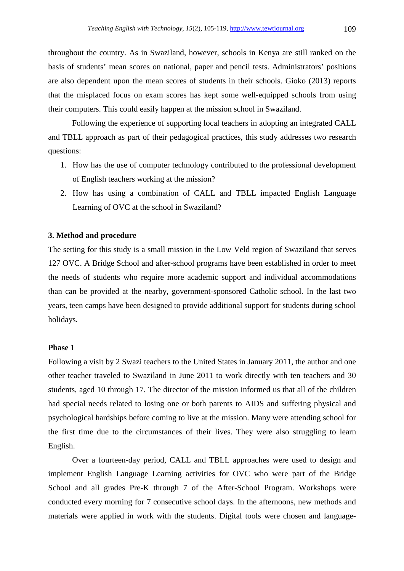throughout the country. As in Swaziland, however, schools in Kenya are still ranked on the basis of students' mean scores on national, paper and pencil tests. Administrators' positions are also dependent upon the mean scores of students in their schools. Gioko (2013) reports that the misplaced focus on exam scores has kept some well-equipped schools from using their computers. This could easily happen at the mission school in Swaziland.

 Following the experience of supporting local teachers in adopting an integrated CALL and TBLL approach as part of their pedagogical practices, this study addresses two research questions:

- 1. How has the use of computer technology contributed to the professional development of English teachers working at the mission?
- 2. How has using a combination of CALL and TBLL impacted English Language Learning of OVC at the school in Swaziland?

## **3. Method and procedure**

The setting for this study is a small mission in the Low Veld region of Swaziland that serves 127 OVC. A Bridge School and after-school programs have been established in order to meet the needs of students who require more academic support and individual accommodations than can be provided at the nearby, government-sponsored Catholic school. In the last two years, teen camps have been designed to provide additional support for students during school holidays.

## **Phase 1**

Following a visit by 2 Swazi teachers to the United States in January 2011, the author and one other teacher traveled to Swaziland in June 2011 to work directly with ten teachers and 30 students, aged 10 through 17. The director of the mission informed us that all of the children had special needs related to losing one or both parents to AIDS and suffering physical and psychological hardships before coming to live at the mission. Many were attending school for the first time due to the circumstances of their lives. They were also struggling to learn English.

 Over a fourteen-day period, CALL and TBLL approaches were used to design and implement English Language Learning activities for OVC who were part of the Bridge School and all grades Pre-K through 7 of the After-School Program. Workshops were conducted every morning for 7 consecutive school days. In the afternoons, new methods and materials were applied in work with the students. Digital tools were chosen and language-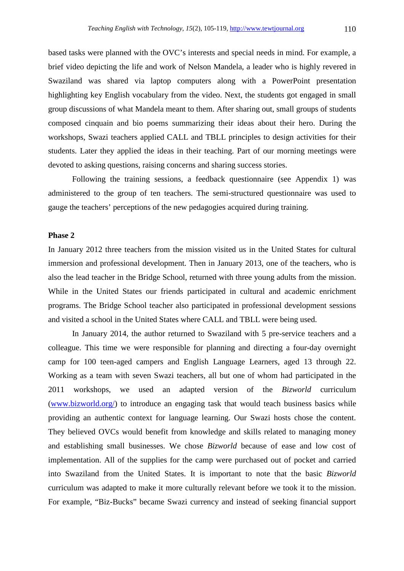based tasks were planned with the OVC's interests and special needs in mind. For example, a brief video depicting the life and work of Nelson Mandela, a leader who is highly revered in Swaziland was shared via laptop computers along with a PowerPoint presentation highlighting key English vocabulary from the video. Next, the students got engaged in small group discussions of what Mandela meant to them. After sharing out, small groups of students composed cinquain and bio poems summarizing their ideas about their hero. During the workshops, Swazi teachers applied CALL and TBLL principles to design activities for their students. Later they applied the ideas in their teaching. Part of our morning meetings were devoted to asking questions, raising concerns and sharing success stories.

 Following the training sessions, a feedback questionnaire (see Appendix 1) was administered to the group of ten teachers. The semi-structured questionnaire was used to gauge the teachers' perceptions of the new pedagogies acquired during training.

## **Phase 2**

In January 2012 three teachers from the mission visited us in the United States for cultural immersion and professional development. Then in January 2013, one of the teachers, who is also the lead teacher in the Bridge School, returned with three young adults from the mission. While in the United States our friends participated in cultural and academic enrichment programs. The Bridge School teacher also participated in professional development sessions and visited a school in the United States where CALL and TBLL were being used.

 In January 2014, the author returned to Swaziland with 5 pre-service teachers and a colleague. This time we were responsible for planning and directing a four-day overnight camp for 100 teen-aged campers and English Language Learners, aged 13 through 22. Working as a team with seven Swazi teachers, all but one of whom had participated in the 2011 workshops, we used an adapted version of the *Bizworld* curriculum (www.bizworld.org/) to introduce an engaging task that would teach business basics while providing an authentic context for language learning. Our Swazi hosts chose the content. They believed OVCs would benefit from knowledge and skills related to managing money and establishing small businesses. We chose *Bizworld* because of ease and low cost of implementation. All of the supplies for the camp were purchased out of pocket and carried into Swaziland from the United States. It is important to note that the basic *Bizworld* curriculum was adapted to make it more culturally relevant before we took it to the mission. For example, "Biz-Bucks" became Swazi currency and instead of seeking financial support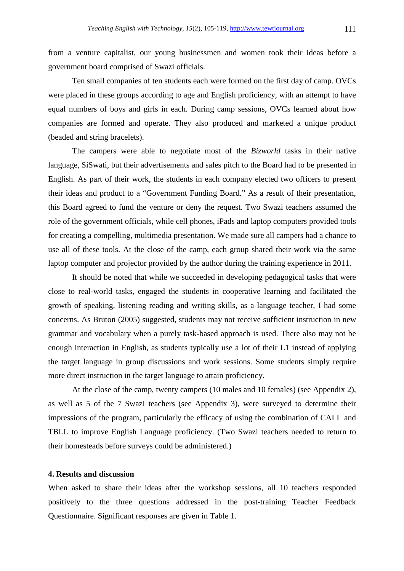from a venture capitalist, our young businessmen and women took their ideas before a government board comprised of Swazi officials.

 Ten small companies of ten students each were formed on the first day of camp. OVCs were placed in these groups according to age and English proficiency, with an attempt to have equal numbers of boys and girls in each. During camp sessions, OVCs learned about how companies are formed and operate. They also produced and marketed a unique product (beaded and string bracelets).

 The campers were able to negotiate most of the *Bizworld* tasks in their native language, SiSwati, but their advertisements and sales pitch to the Board had to be presented in English. As part of their work, the students in each company elected two officers to present their ideas and product to a "Government Funding Board." As a result of their presentation, this Board agreed to fund the venture or deny the request. Two Swazi teachers assumed the role of the government officials, while cell phones, iPads and laptop computers provided tools for creating a compelling, multimedia presentation. We made sure all campers had a chance to use all of these tools. At the close of the camp, each group shared their work via the same laptop computer and projector provided by the author during the training experience in 2011.

 It should be noted that while we succeeded in developing pedagogical tasks that were close to real-world tasks, engaged the students in cooperative learning and facilitated the growth of speaking, listening reading and writing skills, as a language teacher, I had some concerns. As Bruton (2005) suggested, students may not receive sufficient instruction in new grammar and vocabulary when a purely task-based approach is used. There also may not be enough interaction in English, as students typically use a lot of their L1 instead of applying the target language in group discussions and work sessions. Some students simply require more direct instruction in the target language to attain proficiency.

 At the close of the camp, twenty campers (10 males and 10 females) (see Appendix 2), as well as 5 of the 7 Swazi teachers (see Appendix 3), were surveyed to determine their impressions of the program, particularly the efficacy of using the combination of CALL and TBLL to improve English Language proficiency. (Two Swazi teachers needed to return to their homesteads before surveys could be administered.)

# **4. Results and discussion**

When asked to share their ideas after the workshop sessions, all 10 teachers responded positively to the three questions addressed in the post-training Teacher Feedback Questionnaire. Significant responses are given in Table 1.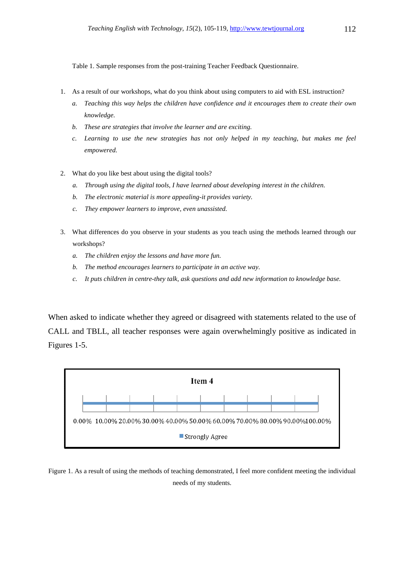Table 1. Sample responses from the post-training Teacher Feedback Questionnaire.

- 1. As a result of our workshops, what do you think about using computers to aid with ESL instruction?
	- *a. Teaching this way helps the children have confidence and it encourages them to create their own knowledge.*
	- *b. These are strategies that involve the learner and are exciting.*
	- *c. Learning to use the new strategies has not only helped in my teaching, but makes me feel empowered.*
- 2. What do you like best about using the digital tools?
	- *a. Through using the digital tools, I have learned about developing interest in the children.*
	- *b. The electronic material is more appealing-it provides variety.*
	- *c. They empower learners to improve, even unassisted.*
- 3. What differences do you observe in your students as you teach using the methods learned through our workshops?
	- *a. The children enjoy the lessons and have more fun.*
	- *b. The method encourages learners to participate in an active way.*
	- *c. It puts children in centre-they talk, ask questions and add new information to knowledge base.*

When asked to indicate whether they agreed or disagreed with statements related to the use of CALL and TBLL, all teacher responses were again overwhelmingly positive as indicated in Figures 1-5.



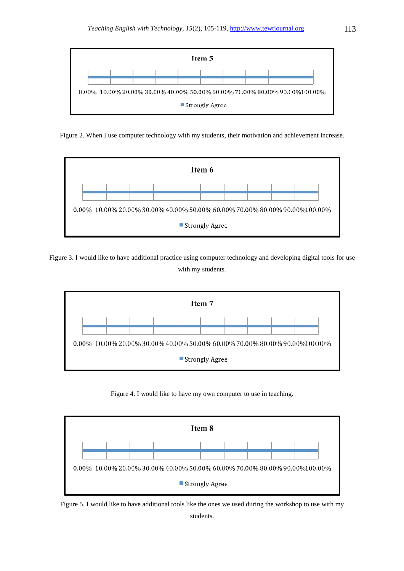

Figure 2. When I use computer technology with my students, their motivation and achievement increase.



Figure 3. I would like to have additional practice using computer technology and developing digital tools for use with my students.



Figure 4. I would like to have my own computer to use in teaching.



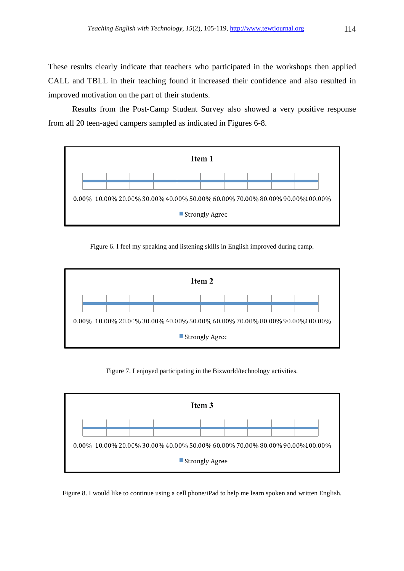These results clearly indicate that teachers who participated in the workshops then applied CALL and TBLL in their teaching found it increased their confidence and also resulted in improved motivation on the part of their students.

 Results from the Post-Camp Student Survey also showed a very positive response from all 20 teen-aged campers sampled as indicated in Figures 6-8.



Figure 6. I feel my speaking and listening skills in English improved during camp.



Figure 7. I enjoyed participating in the Bizworld/technology activities.



Figure 8. I would like to continue using a cell phone/iPad to help me learn spoken and written English.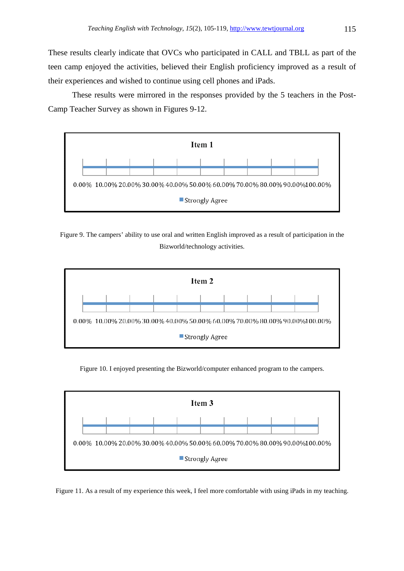These results clearly indicate that OVCs who participated in CALL and TBLL as part of the teen camp enjoyed the activities, believed their English proficiency improved as a result of their experiences and wished to continue using cell phones and iPads.

 These results were mirrored in the responses provided by the 5 teachers in the Post-Camp Teacher Survey as shown in Figures 9-12.



Figure 9. The campers' ability to use oral and written English improved as a result of participation in the Bizworld/technology activities.



Figure 10. I enjoyed presenting the Bizworld/computer enhanced program to the campers.



Figure 11. As a result of my experience this week, I feel more comfortable with using iPads in my teaching.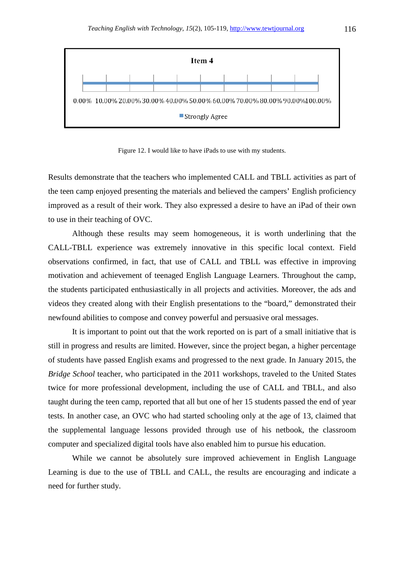

Figure 12. I would like to have iPads to use with my students.

Results demonstrate that the teachers who implemented CALL and TBLL activities as part of the teen camp enjoyed presenting the materials and believed the campers' English proficiency improved as a result of their work. They also expressed a desire to have an iPad of their own to use in their teaching of OVC.

 Although these results may seem homogeneous, it is worth underlining that the CALL-TBLL experience was extremely innovative in this specific local context. Field observations confirmed, in fact, that use of CALL and TBLL was effective in improving motivation and achievement of teenaged English Language Learners. Throughout the camp, the students participated enthusiastically in all projects and activities. Moreover, the ads and videos they created along with their English presentations to the "board," demonstrated their newfound abilities to compose and convey powerful and persuasive oral messages.

 It is important to point out that the work reported on is part of a small initiative that is still in progress and results are limited. However, since the project began, a higher percentage of students have passed English exams and progressed to the next grade. In January 2015, the *Bridge School* teacher, who participated in the 2011 workshops, traveled to the United States twice for more professional development, including the use of CALL and TBLL, and also taught during the teen camp, reported that all but one of her 15 students passed the end of year tests. In another case, an OVC who had started schooling only at the age of 13, claimed that the supplemental language lessons provided through use of his netbook, the classroom computer and specialized digital tools have also enabled him to pursue his education.

 While we cannot be absolutely sure improved achievement in English Language Learning is due to the use of TBLL and CALL, the results are encouraging and indicate a need for further study.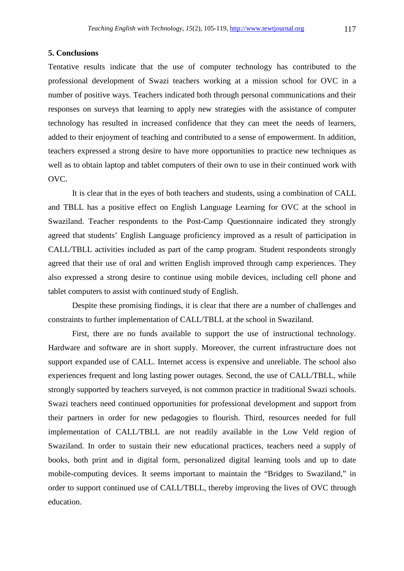## **5. Conclusions**

Tentative results indicate that the use of computer technology has contributed to the professional development of Swazi teachers working at a mission school for OVC in a number of positive ways. Teachers indicated both through personal communications and their responses on surveys that learning to apply new strategies with the assistance of computer technology has resulted in increased confidence that they can meet the needs of learners, added to their enjoyment of teaching and contributed to a sense of empowerment. In addition, teachers expressed a strong desire to have more opportunities to practice new techniques as well as to obtain laptop and tablet computers of their own to use in their continued work with OVC.

 It is clear that in the eyes of both teachers and students, using a combination of CALL and TBLL has a positive effect on English Language Learning for OVC at the school in Swaziland. Teacher respondents to the Post-Camp Questionnaire indicated they strongly agreed that students' English Language proficiency improved as a result of participation in CALL/TBLL activities included as part of the camp program. Student respondents strongly agreed that their use of oral and written English improved through camp experiences. They also expressed a strong desire to continue using mobile devices, including cell phone and tablet computers to assist with continued study of English.

 Despite these promising findings, it is clear that there are a number of challenges and constraints to further implementation of CALL/TBLL at the school in Swaziland.

 First, there are no funds available to support the use of instructional technology. Hardware and software are in short supply. Moreover, the current infrastructure does not support expanded use of CALL. Internet access is expensive and unreliable. The school also experiences frequent and long lasting power outages. Second, the use of CALL/TBLL, while strongly supported by teachers surveyed, is not common practice in traditional Swazi schools. Swazi teachers need continued opportunities for professional development and support from their partners in order for new pedagogies to flourish. Third, resources needed for full implementation of CALL/TBLL are not readily available in the Low Veld region of Swaziland. In order to sustain their new educational practices, teachers need a supply of books, both print and in digital form, personalized digital learning tools and up to date mobile-computing devices. It seems important to maintain the "Bridges to Swaziland," in order to support continued use of CALL/TBLL, thereby improving the lives of OVC through education.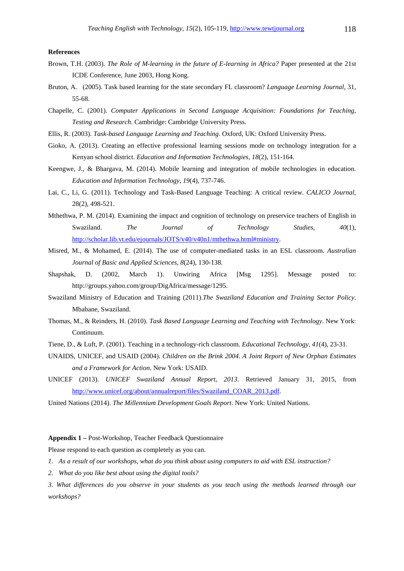#### **References**

- Brown, T.H. (2003). *The Role of M-learning in the future of E-learning in Africa?* Paper presented at the 21st ICDE Conference, June 2003, Hong Kong.
- Bruton, A. (2005). Task based learning for the state secondary FL classroom? *Language Learning Journal,* 31, 55-68.
- Chapelle, C. (2001). *Computer Applications in Second Language Acquisition: Foundations for Teaching, Testing and Research*. Cambridge: Cambridge University Press.
- Ellis, R. (2003). *Task-based Language Learning and Teaching*. Oxford, UK: Oxford University Press.
- Gioko, A. (2013). Creating an effective professional learning sessions mode on technology integration for a Kenyan school district. *Education and Information Technologies, 18*(2), 151-164.
- Keengwe, J., & Bhargava, M. (2014). Mobile learning and integration of mobile technologies in education. *Education and Information Technology, 19*(4), 737-746.
- Lai, C., Li, G. (2011). Technology and Task-Based Language Teaching: A critical review. *CALICO Journal,* 28(2), 498-521.
- Mthethwa, P. M. (2014). Examining the impact and cognition of technology on preservice teachers of English in Swaziland. *The Journal of Technology Studies*, *40*(1), http://scholar.lib.vt.edu/ejournals/JOTS/v40/v40n1/mthethwa.html#ministry.
- Misred, M., & Mohamed, E. (2014). The use of computer-mediated tasks in an ESL classroom. *Australian Journal of Basic and Applied Sciences, 8*(24), 130-138.
- Shapshak, D. (2002, March 1). Unwiring Africa [Msg 1295]. Message posted to: http://groups.yahoo.com/group/DigAfrica/message/1295.
- Swaziland Ministry of Education and Training (2011).*The Swaziland Education and Training Sector Policy*. Mbabane, Swaziland.
- Thomas, M., & Reinders, H. (2010). *Task Based Language Learning and Teaching with Technology*. New York: Continuum.
- Tiene, D., & Luft, P. (2001). Teaching in a technology-rich classroom. *Educational Technology, 41*(4), 23-31.
- UNAIDS, UNICEF, and USAID (2004). *Children on the Brink 2004. A Joint Report of New Orphan Estimates and a Framework for Action*. New York: USAID.
- UNICEF (2013). *UNICEF Swaziland Annual Report, 2013*. Retrieved January 31, 2015, from http://www.unicef.org/about/annualreport/files/Swaziland\_COAR\_2013.pdf.
- United Nations (2014). *The Millennium Development Goals Report*. New York: United Nations.

## **Appendix 1 –** Post-Workshop, Teacher Feedback Questionnaire

Please respond to each question as completely as you can.

- *1. As a result of our workshops, what do you think about using computers to aid with ESL instruction?*
- *2. What do you like best about using the digital tools?*
- *3. What differences do you observe in your students as you teach using the methods learned through our workshops?*